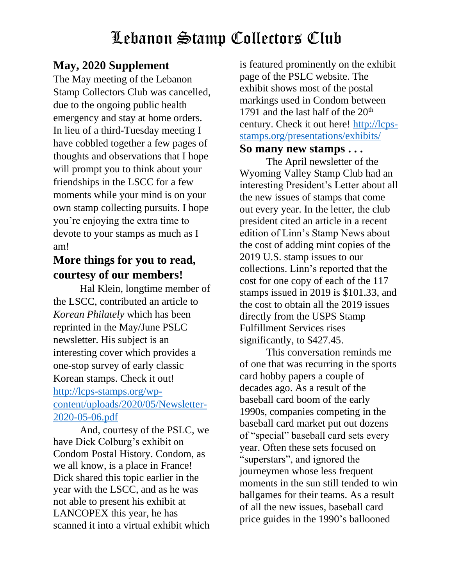### **May, 2020 Supplement**

The May meeting of the Lebanon Stamp Collectors Club was cancelled, due to the ongoing public health emergency and stay at home orders. In lieu of a third-Tuesday meeting I have cobbled together a few pages of thoughts and observations that I hope will prompt you to think about your friendships in the LSCC for a few moments while your mind is on your own stamp collecting pursuits. I hope you're enjoying the extra time to devote to your stamps as much as I am!

### **More things for you to read, courtesy of our members!**

Hal Klein, longtime member of the LSCC, contributed an article to *Korean Philately* which has been reprinted in the May/June PSLC newsletter. His subject is an interesting cover which provides a one-stop survey of early classic Korean stamps. Check it out! [http://lcps-stamps.org/wp](http://lcps-stamps.org/wp-content/uploads/2020/05/Newsletter-2020-05-06.pdf)[content/uploads/2020/05/Newsletter-](http://lcps-stamps.org/wp-content/uploads/2020/05/Newsletter-2020-05-06.pdf)[2020-05-06.pdf](http://lcps-stamps.org/wp-content/uploads/2020/05/Newsletter-2020-05-06.pdf)

And, courtesy of the PSLC, we have Dick Colburg's exhibit on Condom Postal History. Condom, as we all know, is a place in France! Dick shared this topic earlier in the year with the LSCC, and as he was not able to present his exhibit at LANCOPEX this year, he has scanned it into a virtual exhibit which

is featured prominently on the exhibit page of the PSLC website. The exhibit shows most of the postal markings used in Condom between 1791 and the last half of the  $20<sup>th</sup>$ century. Check it out here! [http://lcps](http://lcps-stamps.org/presentations/exhibits/)[stamps.org/presentations/exhibits/](http://lcps-stamps.org/presentations/exhibits/)

#### **So many new stamps . . .**

The April newsletter of the Wyoming Valley Stamp Club had an interesting President's Letter about all the new issues of stamps that come out every year. In the letter, the club president cited an article in a recent edition of Linn's Stamp News about the cost of adding mint copies of the 2019 U.S. stamp issues to our collections. Linn's reported that the cost for one copy of each of the 117 stamps issued in 2019 is \$101.33, and the cost to obtain all the 2019 issues directly from the USPS Stamp Fulfillment Services rises significantly, to \$427.45.

This conversation reminds me of one that was recurring in the sports card hobby papers a couple of decades ago. As a result of the baseball card boom of the early 1990s, companies competing in the baseball card market put out dozens of "special" baseball card sets every year. Often these sets focused on "superstars", and ignored the journeymen whose less frequent moments in the sun still tended to win ballgames for their teams. As a result of all the new issues, baseball card price guides in the 1990's ballooned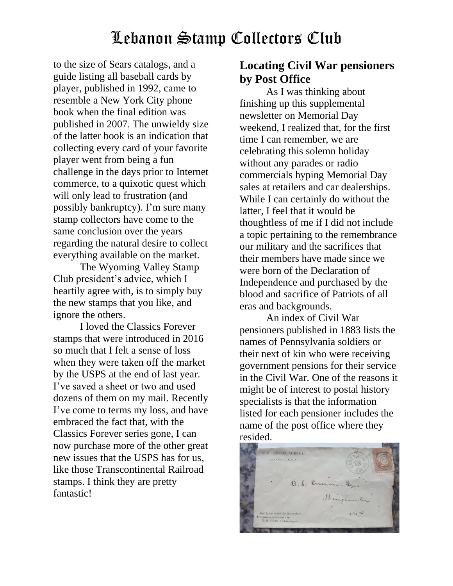to the size of Sears catalogs, and a guide listing all baseball cards by player, published in 1992, came to resemble a New York City phone book when the final edition was published in 2007. The unwieldy size of the latter book is an indication that collecting every card of your favorite player went from being a fun challenge in the days prior to Internet commerce, to a quixotic quest which will only lead to frustration (and possibly bankruptcy). I'm sure many stamp collectors have come to the same conclusion over the years regarding the natural desire to collect everything available on the market.

The Wyoming Valley Stamp Club president's advice, which I heartily agree with, is to simply buy the new stamps that you like, and ignore the others.

I loved the Classics Forever stamps that were introduced in 2016 so much that I felt a sense of loss when they were taken off the market by the USPS at the end of last year. I've saved a sheet or two and used dozens of them on my mail. Recently I've come to terms my loss, and have embraced the fact that, with the Classics Forever series gone, I can now purchase more of the other great new issues that the USPS has for us, like those Transcontinental Railroad stamps. I think they are pretty fantastic!

#### **Locating Civil War pensioners by Post Office**

As I was thinking about finishing up this supplemental newsletter on Memorial Day weekend, I realized that, for the first time I can remember, we are celebrating this solemn holiday without any parades or radio commercials hyping Memorial Day sales at retailers and car dealerships. While I can certainly do without the latter, I feel that it would be thoughtless of me if I did not include a topic pertaining to the remembrance our military and the sacrifices that their members have made since we were born of the Declaration of Independence and purchased by the blood and sacrifice of Patriots of all eras and backgrounds.

An index of Civil War pensioners published in 1883 lists the names of Pennsylvania soldiers or their next of kin who were receiving government pensions for their service in the Civil War. One of the reasons it might be of interest to postal history specialists is that the information listed for each pensioner includes the name of the post office where they resided.

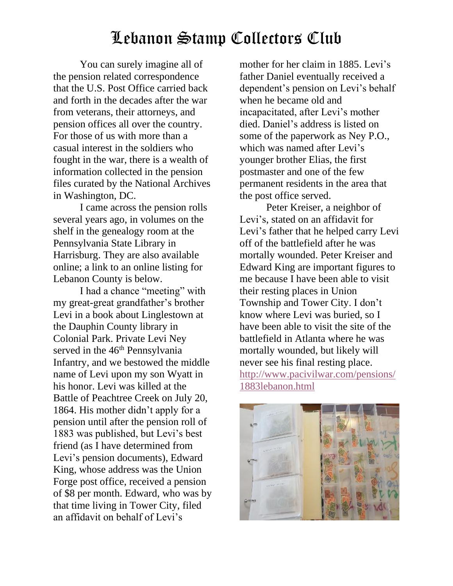You can surely imagine all of the pension related correspondence that the U.S. Post Office carried back and forth in the decades after the war from veterans, their attorneys, and pension offices all over the country. For those of us with more than a casual interest in the soldiers who fought in the war, there is a wealth of information collected in the pension files curated by the National Archives in Washington, DC.

I came across the pension rolls several years ago, in volumes on the shelf in the genealogy room at the Pennsylvania State Library in Harrisburg. They are also available online; a link to an online listing for Lebanon County is below.

I had a chance "meeting" with my great-great grandfather's brother Levi in a book about Linglestown at the Dauphin County library in Colonial Park. Private Levi Ney served in the 46<sup>th</sup> Pennsylvania Infantry, and we bestowed the middle name of Levi upon my son Wyatt in his honor. Levi was killed at the Battle of Peachtree Creek on July 20, 1864. His mother didn't apply for a pension until after the pension roll of 1883 was published, but Levi's best friend (as I have determined from Levi's pension documents), Edward King, whose address was the Union Forge post office, received a pension of \$8 per month. Edward, who was by that time living in Tower City, filed an affidavit on behalf of Levi's

mother for her claim in 1885. Levi's father Daniel eventually received a dependent's pension on Levi's behalf when he became old and incapacitated, after Levi's mother died. Daniel's address is listed on some of the paperwork as Ney P.O., which was named after Levi's younger brother Elias, the first postmaster and one of the few permanent residents in the area that the post office served.

Peter Kreiser, a neighbor of Levi's, stated on an affidavit for Levi's father that he helped carry Levi off of the battlefield after he was mortally wounded. Peter Kreiser and Edward King are important figures to me because I have been able to visit their resting places in Union Township and Tower City. I don't know where Levi was buried, so I have been able to visit the site of the battlefield in Atlanta where he was mortally wounded, but likely will never see his final resting place. [http://www.pacivilwar.com/pensions/](http://www.pacivilwar.com/pensions/1883lebanon.html) [1883lebanon.html](http://www.pacivilwar.com/pensions/1883lebanon.html)